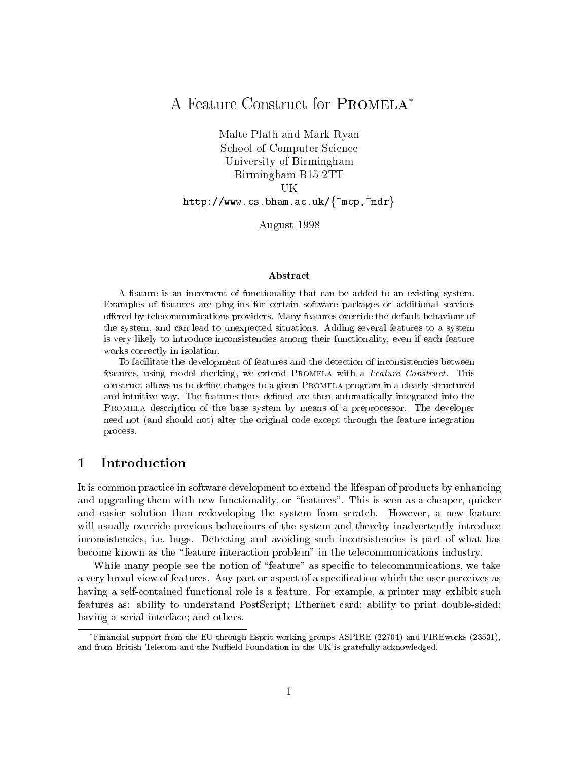# A Feature Construct for PROMELA<sup>\*</sup>

Malte Plath and Mark Ryan School of Computer Science University of Birmingham Birmingham B15 2TT UК

http://www.cs.bham.ac.uk/ $\{$   $\text{mcp}, \text{mdr}\}$ 

August 1998

### Abstract

A feature is an increment of functionality that can be added to an existing system. Examples of features are plug-ins for certain software packages or additional services offered by telecommunications providers. Many features override the default behaviour of the system, and can lead to unexpected situations. Adding several features to a system is very likely to introduce inconsistencies among their functionality, even if each feature works correctly in isolation.

To facilitate the development of features and the detection of inconsistencies between features, using model checking, we extend Promela with a Feature Construct. This construct allows us to define changes to a given PROMELA program in a clearly structured and intuitive way. The features thus defined are then automatically integrated into the Promela description of the base system by means of a preprocessor. The developer need not (and should not) alter the original code except through the feature integration process.

### **Introduction**  $\mathbf 1$

It is common practice in software development to extend the lifespan of products by enhancing and upgrading them with new functionality, or "features". This is seen as a cheaper, quicker and easier solution than redeveloping the system from scratch. However, a new feature will usually override previous behaviours of the system and thereby inadvertently introduce inconsistencies, i.e. bugs. Detecting and avoiding such inconsistencies is part of what has become known as the \feature interaction problem" in the telecommunications industry.

While many people see the notion of "feature" as specific to telecommunications, we take a very broad view of features. Any part or aspect of a specication which the user perceives as having a self-contained functional role is a feature. For example, a printer may exhibit such features as: ability to understand PostScript; Ethernet card; ability to print double-sided; having a serial interface; and others.

Financial support from the EU through Esprit working groups ASPIRE (22704) and FIREworks (23531), and from British Telecom and the Nuffield Foundation in the UK is gratefully acknowledged.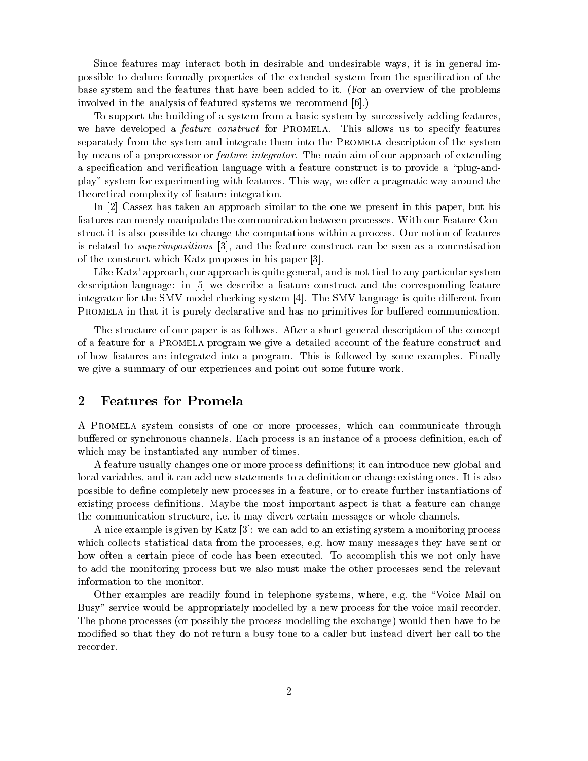Since features may interact both in desirable and undesirable ways, it is in general impossible to deduce formally properties of the extended system from the specication of the base system and the features that have been added to it. (For an overview of the problems involved in the analysis of featured systems we recommend [6].)

To support the building of a system from a basic system by successively adding features, we have developed a *feature construct* for PROMELA. This allows us to specify features separately from the system and integrate them into the Promela description of the system by means of a preprocessor or feature integrator. The main aim of our approach of extending a specification and verification language with a feature construct is to provide a "plug-andplay" system for experimenting with features. This way, we offer a pragmatic way around the theoretical complexity of feature integration.

In [2] Cassez has taken an approach similar to the one we present in this paper, but his features can merely manipulate the communication between processes. With our Feature Construct it is also possible to change the computations within a process. Our notion of features is related to superimpositions [3], and the feature construct can be seen as a concretisation of the construct which Katz proposes in his paper [3].

Like Katz' approach, our approach is quite general, and is not tied to any particular system description language: in [5] we describe a feature construct and the corresponding feature integrator for the SMV model checking system  $[4]$ . The SMV language is quite different from PROMELA in that it is purely declarative and has no primitives for buffered communication.

The structure of our paper is as follows. After a short general description of the concept of a feature for a Promela program we give a detailed account of the feature construct and of how features are integrated into a program. This is followed by some examples. Finally we give a summary of our experiences and point out some future work.

# <sup>2</sup> Features for Promela

A Promela system consists of one or more processes, which can communicate through buffered or synchronous channels. Each process is an instance of a process definition, each of which may be instantiated any number of times.

A feature usually changes one or more process denitions; it can introduce new global and local variables, and it can add new statements to a definition or change existing ones. It is also possible to dene completely new processes in a feature, or to create further instantiations of existing process definitions. Maybe the most important aspect is that a feature can change the communication structure, i.e. it may divert certain messages or whole channels.

A nice example is given by Katz [3]: we can add to an existing system a monitoring process which collects statistical data from the processes, e.g. how many messages they have sent or how often a certain piece of code has been executed. To accomplish this we not only have to add the monitoring process but we also must make the other processes send the relevant information to the monitor.

Other examples are readily found in telephone systems, where, e.g. the \Voice Mail on Busy" service would be appropriately modelled by a new process for the voice mail recorder. The phone processes (or possibly the process modelling the exchange) would then have to be modified so that they do not return a busy tone to a caller but instead divert her call to the recorder.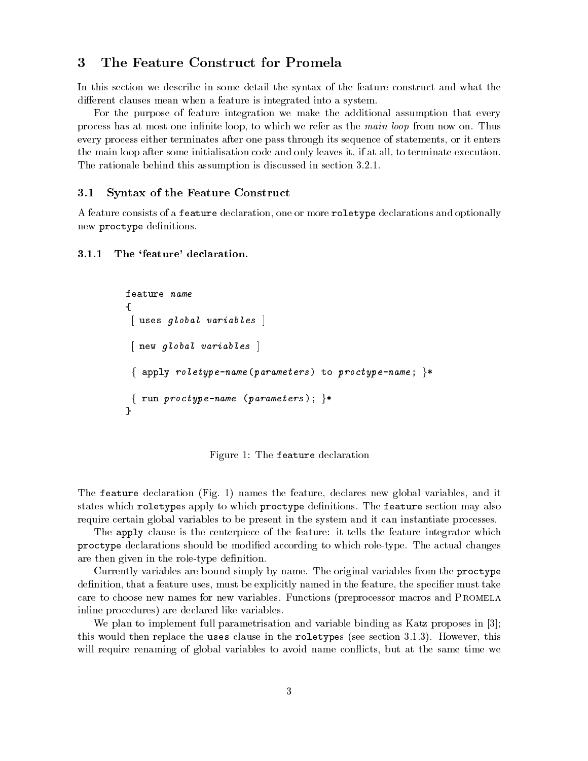### 3 The Feature Construct for Promela

In this section we describe in some detail the syntax of the feature construct and what the different clauses mean when a feature is integrated into a system.

For the purpose of feature integration we make the additional assumption that every process has at most one infinite loop, to which we refer as the main loop from now on. Thus every process either terminates after one pass through its sequence of statements, or it enters the main loop after some initialisation code and only leaves it, if at all, to terminate execution. The rationale behind this assumption is discussed in section 3.2.1.

#### $3.1$ Syntax of the Feature Construct

A feature consists of a feature declaration, one or more roletype declarations and optionally new proctype definitions.

#### 3.1.1The 'feature' declaration.

```
\left\{ \right.{\bf r}[ uses global variables ]
[ new global variables ]
 { apply roletype-name (parameters) to proctype-name; }*
{ run \textit{proctype-name} (\textit{parameters}); }*
}
```
Figure 1: The feature declaration

The feature declaration (Fig. 1) names the feature, declares new global variables, and it states which roletypes apply to which proctype definitions. The feature section may also require certain global variables to be present in the system and it can instantiate processes.

The apply clause is the centerpiece of the feature: it tells the feature integrator which  $p = \lambda + \lambda$  declarations should be modified according to which role-type. The actual changes are then given in the role-type definition.

Currently variables are bound simply by name. The original variables from the proctype definition, that a feature uses, must be explicitly named in the feature, the specifier must take care to choose new names for new variables. Functions (preprocessor macros and Promela inline procedures) are declared like variables.

We plan to implement full parametrisation and variable binding as Katz proposes in [3]; this would then replace the uses clause in the roletypes (see section 3.1.3). However, this will require renaming of global variables to avoid name conflicts, but at the same time we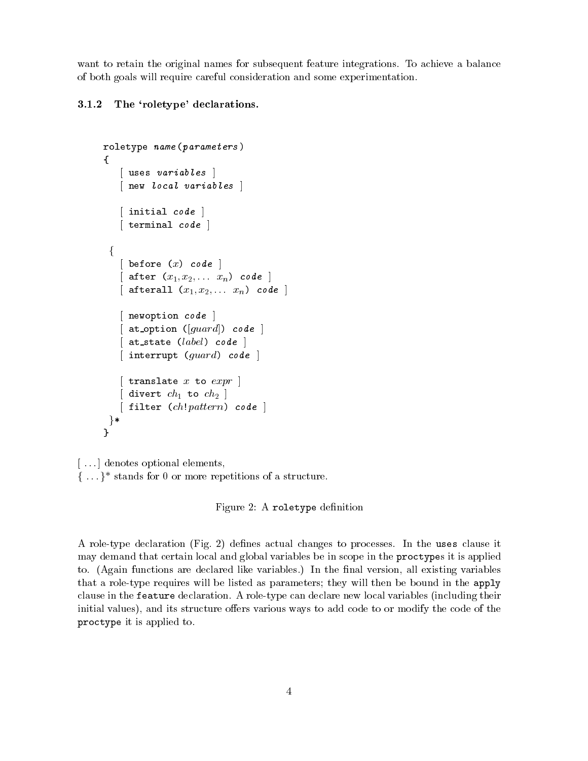want to retain the original names for subsequent feature integrations. To achieve a balance of both goals will require careful consideration and some experimentation.

#### 3.1.2The 'roletype' declarations.

```
roletype name (parameters )
{[ uses variables ][ new local variables ]
   [ initial code ]
   [ terminal code ]
 f
   [ before (x) code ]
   [ after (x_1, x_2,... x_n) code ]
   [ afterall (x_1, x_2, \ldots x_n) code ]
   [ newoption code ]
   [ at option ([guard]) code ]
   \lceil at state (label) code \lceil[ interrupt (guard) code ]
   \lceil translate x to expr \rceil\left[\right] divert ch_1 to ch_2 \left.\right][ filter (ch!pattern) code ]
g*
}
```
[...] denotes optional elements,  $\{ \ldots \}^*$  stands for 0 or more repetitions of a structure.

Figure 2: A roletype definition

A role-type declaration (Fig. 2) denes actual changes to processes. In the uses clause it may demand that certain local and global variables be in scope in the proctypes it is applied to. (Again functions are declared like variables.) In the final version, all existing variables that a role-type requires will be listed as parameters; they will then be bound in the apply clause in the feature declaration. A role-type can declare new local variables (including their initial values), and its structure offers various ways to add code to or modify the code of the proctype it is applied to.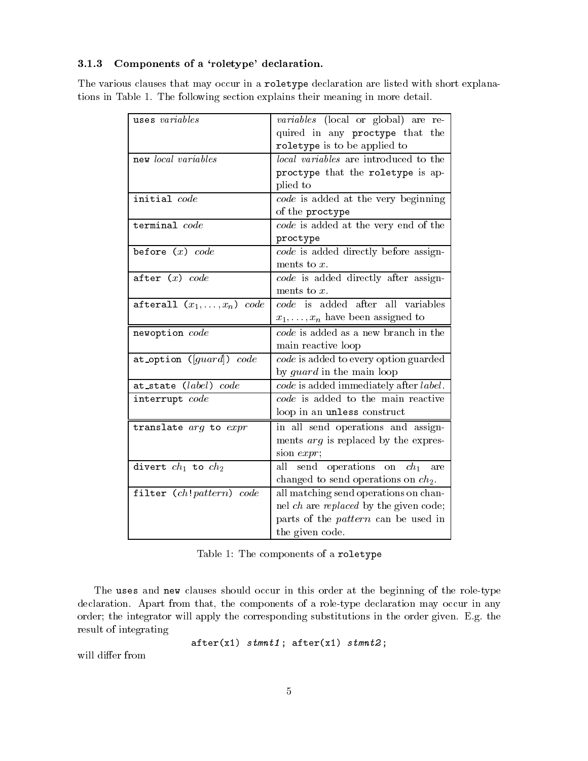### 3.1.3Components of <sup>a</sup> `roletype' declaration.

The various clauses that may occur in a roletype declaration are listed with short explanations in Table 1. The following section explains their meaning in more detail.

| uses variables                            | <i>variables</i> (local or global) are re-   |
|-------------------------------------------|----------------------------------------------|
|                                           | quired in any proctype that the              |
|                                           | roletype is to be applied to                 |
| new local variables                       | <i>local variables</i> are introduced to the |
|                                           | proctype that the roletype is ap-            |
|                                           | plied to                                     |
| initial code                              | code is added at the very beginning          |
|                                           | of the proctype                              |
| $\texttt{terminal}$ $code$                | code is added at the very end of the         |
|                                           | proctype                                     |
| before $(x)$ $code$                       | code is added directly before assign-        |
|                                           | ments to $x$ .                               |
| after $(x)$ code                          | code is added directly after assign-         |
|                                           | ments to $x$ .                               |
| afterall $(x_1, \ldots, x_n)$ code        | code is added after all variables            |
|                                           | $x_1, \ldots, x_n$ have been assigned to     |
| newoption code                            | code is added as a new branch in the         |
|                                           | main reactive loop                           |
| at_option ( $[guard]$ ) $\overline{code}$ | code is added to every option guarded        |
|                                           | by <i>guard</i> in the main loop             |
| at_state (label) code                     | code is added immediately after label.       |
| interrupt code                            | code is added to the main reactive           |
|                                           | loop in an unless construct                  |
| translate arg to expr                     | in all send operations and assign-           |
|                                           | ments <i>arg</i> is replaced by the expres-  |
|                                           | sion $expr;$                                 |
| divert $ch_1$ to $ch_2$                   | operations on $ch_1$<br>send<br>all<br>are   |
|                                           | changed to send operations on $ch_2$ .       |
| filter $(ch!pattern) code$                | all matching send operations on chan-        |
|                                           | nel ch are replaced by the given code;       |
|                                           | parts of the <i>pattern</i> can be used in   |
|                                           | the given code.                              |

Table 1: The components of a roletype

The uses and new clauses should occur in this order at the beginning of the role-type declaration. Apart from that, the components of a role-type declaration may occur in any order; the integrator will apply the corresponding substitutions in the order given. E.g. the result of integrating

and  $\alpha$  is the state  $\alpha$  , and  $\alpha$  is the state  $\alpha$  ; and  $\alpha$  is the state  $\alpha$  ; and  $\alpha$  is the state  $\alpha$  is the state  $\alpha$  is the state  $\alpha$  is the state  $\alpha$  is the state  $\alpha$ 

will differ from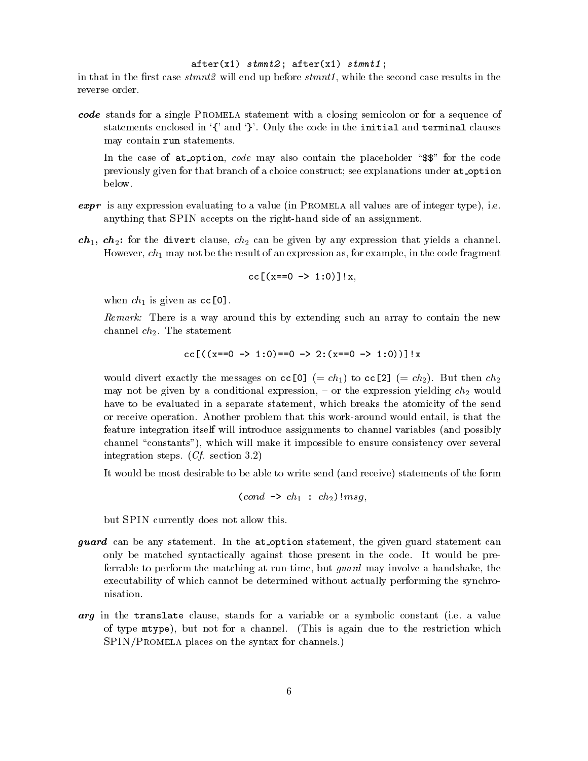### after (x1) stammar ; after (x1) stmnt  $\alpha$

in that in the first case  $smmt2$  will end up before  $smmt1$ , while the second case results in the reverse order.

code stands for a single Promela statement with a closing semicolon orfor a sequence of statements enclosed in  $\{$ ' and  $\}$ '. Only the code in the initial and terminal clauses may contain run statements.

In the case of  $at$ -option, *code* may also contain the placeholder " $\$ " for the code previously given for that branch of a choice construct; see explanations under at option below.

- expr is any expression evaluating to a value (in Promela all values are of integer type), i.e. anything that SPIN accepts on the right-hand side of an assignment.
- $ch_1$ ,  $ch_2$ : for the divert clause,  $ch_2$  can be given by any expression that yields a channel. However,  $ch_1$  may not be the result of an expression as, for example, in the code fragment

$$
cc[(x == 0 -> 1:0)]!x,
$$

when  $ch_1$  is given as  $cc[0]$ .

Remark: There is a way around this by extending such an array to contain the new channel  $ch_2$ . The statement

$$
cc[((x == 0 -> 1:0) == 0 -> 2:(x == 0 -> 1:0))] \mid x
$$

would divert exactly the messages on cc[0] (=  $ch_1$ ) to cc[2] (=  $ch_2$ ). But then  $ch_2$ may not be given by a conditional expression,  $-$  or the expression yielding  $ch<sub>2</sub>$  would have to be evaluated in a separate statement, which breaks the atomicity of the send or receive operation. Another problem that this work-around would entail, is that the feature integration itself will introduce assignments to channel variables (and possibly channel "constants"), which will make it impossible to ensure consistency over several integration steps. (Cf. section 3.2)

It would be most desirable to be able to write send (and receive) statements of the form

$$
(cond \rightarrow ch_1 : ch_2) \, \text{ } | msg,
$$

but SPIN currently does not allow this.

- guard can be any statement. In the at option statement, the given guard statement can only be matched syntactically against those present in the code. It would be preferrable to perform the matching at run-time, but guard may involve a handshake, the executability of which cannot be determined without actually performing the synchronisation.
- arg in the transmission clause, standard clause for a variable or a value of a value of the symbolic constant of type mtype), but not for a channel. (This is again due to the restriction which SPIN/Promela places on the syntax for channels.)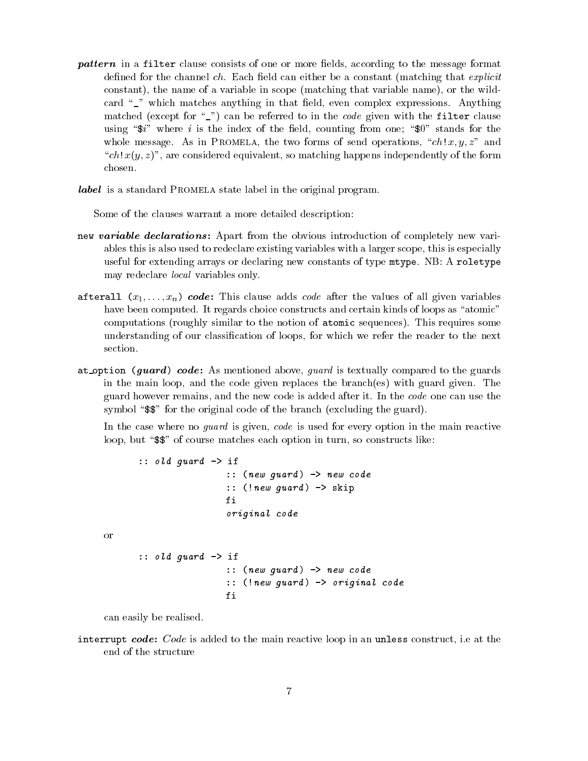pattern in a filter clause consists of one or more elds, according to the message format defined for the channel  $ch$ . Each field can either be a constant (matching that *explicit* constant), the name of a variable in scope (matching that variable name), or the wildcard  $\degree$  which matches anything in that field, even complex expressions. Anything matched (except for  $\frac{m}{n}$ ) can be referred to in the *code* given with the filter clause using " $\hat{\mathbf{x}}$ " where i is the index of the field, counting from one; " $\mathbf{0}$ " stands for the whole message. As in PROMELA, the two forms of send operations, " $ch!x, y, z$ " and " $\cosh(x, z)$ ", are considered equivalent, so matching happens independently of the form

label is a standard Promela state label in the original program.

Some of the clauses warrant a more detailed description:

- new variable declarations: Applies: Applies: Applies: Applies: Organization of completely new variables this is also used to redeclare existing variables with a larger scope, this is especially useful for extending arrays or declaring new constants of type mtype. NB: A roletype may redeclare local variables only.
- after after (xi)::::xn) code: This code: This code after the values of after the values of all given variables have been computed. It regards choice constructs and certain kinds of loops as "atomic" computations (roughly similar to the notion of atomic sequences). This requires some understanding of our classication of loops, for which we refer the reader to the next section.
- at option (guard ) code : As mentioned above, guard is textually compared to the guards in the main loop, and the code given replaces the branch(es) with guard given. The guard however remains, and the new code is added after it. In the code one can use the symbol " $\$ " for the original code of the branch (excluding the guard).

In the case where no *guard* is given, code is used for every option in the main reactive loop, but " $\$ " of course matches each option in turn, so constructs like:

```
:: 0.000 guard - - if and - if and - if and - if and - if and - if and - if and - if and - if and - if and - i
                        :: (new guard ) -> new code
                        \mathbf{r} , the set growth \mathbf{r} , \mathbf{r} , set \mathbf{r} , and \mathbf{r}f_i\, = \,original code
:: old guard -> if
                        :: (new guard ) -> new code
                        :: (!new guard ) -> original code
                        fi
```
can easily be realised.

or

interrupt code : Code is added to the main reactive loop in an unless construct, i.e at the end of the structure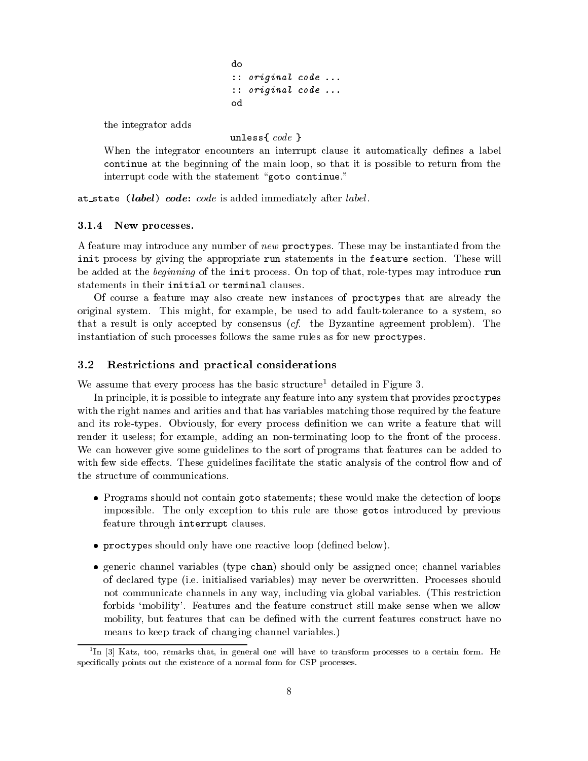```
:: original code ...
:: original code ...
od
```
the integrator adds

under the state of the state of the state of the state of the state of the state of the state of the state of t

When the integrator encounters an interrupt clause it automatically defines a label continue at the beginning of the main loop, so that it is possible to return from the interrupt code with the statement "goto continue."

at state (label ) code: code is added immediately after label.

#### 3.1.4New processes.

A feature may introduce any number of new proctypes. These may be instantiated from the initiate a process of Marriage and appropriately manufacture in the manufacture section. The feature section i be added at the beginning of the init process. On top of that, role-types may introduce run statements in their initial or terminal clauses.

Of course a feature may also create new instances of proctypes that are already the original system. This might, for example, be used to add fault-tolerance to a system, so that a result is only accepted by consensus (cf. the Byzantine agreement problem). The instantiation of such processes follows the same rules as for new proctypes.

### 3.2 Restrictions and practical considerations

We assume that every process has the basic structure<sup>1</sup> detailed in Figure 3.

In principle, it is possible to integrate any feature into any system that provides proctypes with the right names and arities and that has variables matching those required by the feature and its role-types. Obviously, for every process definition we can write a feature that will render it useless; for example, adding an non-terminating loop to the front of the process. We can however give some guidelines to the sort of programs that features can be added to with few side effects. These guidelines facilitate the static analysis of the control flow and of the structure of communications.

- $\bullet$  -Programs should not contain goto statements; these would make the detection of loops impossible. The only exception to this rule are those gotos introduced by previous feature through interrupt clauses.
- proctypes should only have one reactive loop (dened below).
- $\bullet$  generic channel variables (type  $\tt{chan}$ ) should only be assigned once; channel variables of declared type (i.e. initialised variables) may never be overwritten. Processes should not communicate channels in any way, including via global variables. (This restriction forbids `mobility'. Features and the feature construct still make sense when we allow mobility, but features that can be defined with the current features construct have no means to keep track of changing channel variables.)

<sup>1</sup> In [3] Katz, too, remarks that, in general one will have to transform processes to a certain form. He specifically points out the existence of a normal form for CSP processes.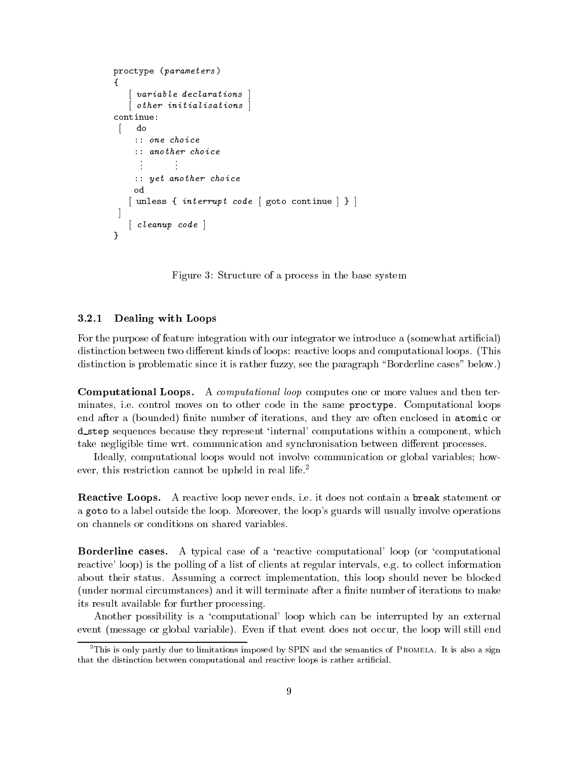```
proctype (parameters )
ſ
\sim[ variable declarations ]
  [ other initialisations ]
continue:[ do
    :: one choice
     ..:: yet another choice
    od
    od[ unless { \textit{int} errupt code [ goto continue ] } ]
J
 \blacksquare[ cleanup code ]
}
```
Figure 3: Structure of a process in the base system

### 3.2.1Dealing with Loops

For the purpose of feature integration with our integrator we introduce a (somewhat articial) distinction between two different kinds of loops: reactive loops and computational loops. (This distinction is problematic since it is rather fuzzy, see the paragraph "Borderline cases" below.)

Computational Loops. A computational loop computes one or more values and then terminates, i.e. control moves on to other code in the same proctype. Computational loops end after a (bounded) finite number of iterations, and they are often enclosed in atomic or d\_step sequences because they represent 'internal' computations within a component, which take negligible time wrt. communication and synchronisation between different processes.

Ideally, computational loops would not involve communication orglobal variables; however, this restriction cannot be upheld in real life.<sup>2</sup>

Reactive Loops. A reactive loop never ends, i.e. it does not contain a break statement or a goto to a label outside the loop. Moreover, the loop's guards will usually involve operations on channels or conditions on shared variables.

**Borderline cases.** A typical case of a 'reactive computational' loop (or 'computational reactive' loop) is the polling of a list of clients at regular intervals, e.g. to collect information about their status. Assuming a correct implementation, this loop should never be blocked (under normal circumstances) and it will terminate after a finite number of iterations to make its result available for further processing.

Another possibility is a 'computational' loop which can be interrupted by an external event (message or global variable). Even if that event does not occur, the loop will still end

 $^{2}$ This is only partly due to limitations imposed by SPIN and the semantics of Promela. It is also a sign that the distinction between computational and reactive loops is rather artificial.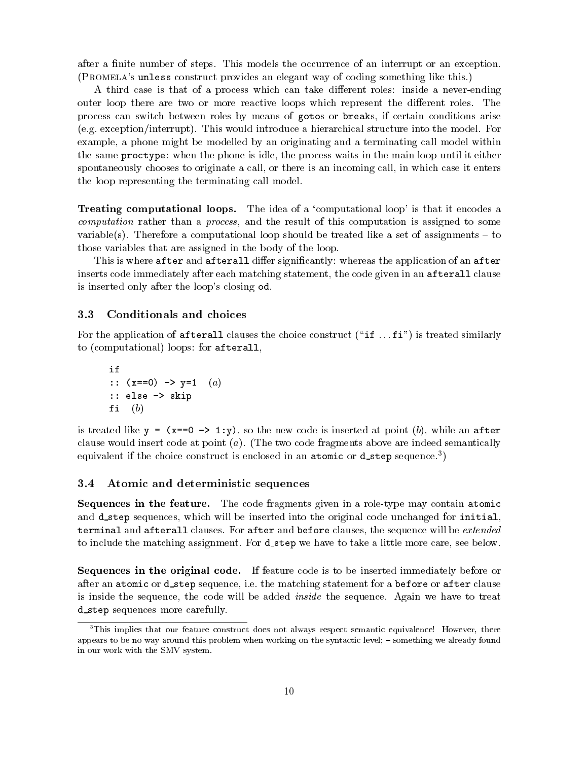after a finite number of steps. This models the occurrence of an interrupt or an exception. (Promela's unless construct provides an elegant way of coding something like this.)

A third case is that of a process which can take different roles: inside a never-ending outer loop there are two or more reactive loops which represent the different roles. The process can switch between roles by means of gotos or breaks, if certain conditions arise (e.g. exception/interrupt). This would introduce a hierarchical structure into the model. For example, a phone might be modelled by an originating and a terminating call model within the same proctype: when the phone is idle, the process waits in the main loop until it either spontaneously chooses to originate a call, or there is an incoming call, in which case it enters the loop representing the terminating call model.

Treating computational loops. The idea of a `computational loop' is that it encodes a computation rather than a process, and the result of this computation is assigned to some variable(s). Therefore a computational loop should be treated like a set of assignments  $-$  to those variables that are assigned in the body of the loop.

This is where after and afterall differ significantly: whereas the application of an after inserts code immediately after each matching statement, the code given in an afterall clause is inserted only after the loop's closing od.

### 3.3 Conditionals and choices

For the application of afterall clauses the choice construct ("if  $\dots$  fi") is treated similarly to (computational) loops: for afterall,

if  
\n:: 
$$
(x == 0) \rightarrow y == 1
$$
 (a)  
\n:: else  $\rightarrow$  skip  
\nfi (b)

is treated like  $y = (x == 0 \rightarrow 1:y)$ , so the new code is inserted at point (b), while an after clause would insert code at point  $(a)$ . (The two code fragments above are indeed semantically equivalent if the choice construct is enclosed in an atomic or **d\_step** sequence. T

#### Atomic and deterministic sequences 3.4

 $S$  sequences in the feature. The code fragments given in a role-type may contain atomic. and d\_step sequences, which will be inserted into the original code unchanged for initial, terminal and afterall clauses. For after and before clauses, the sequence will be extended to include the matching assignment. For **d\_step** we have to take a little more care, see below.

Sequences in the original code. If feature code is to be inserted immediately before or after an atomic or d\_step sequence, i.e. the matching statement for a before or after clause is inside the sequence, the code will be added inside the sequence. Again we have to treat d step sequences more carefully.

<sup>&</sup>lt;sup>3</sup>This implies that our feature construct does not always respect semantic equivalence! However, there appears to be no way around this problem when working on the syntactic level; - something we already found in our work with the SMV system.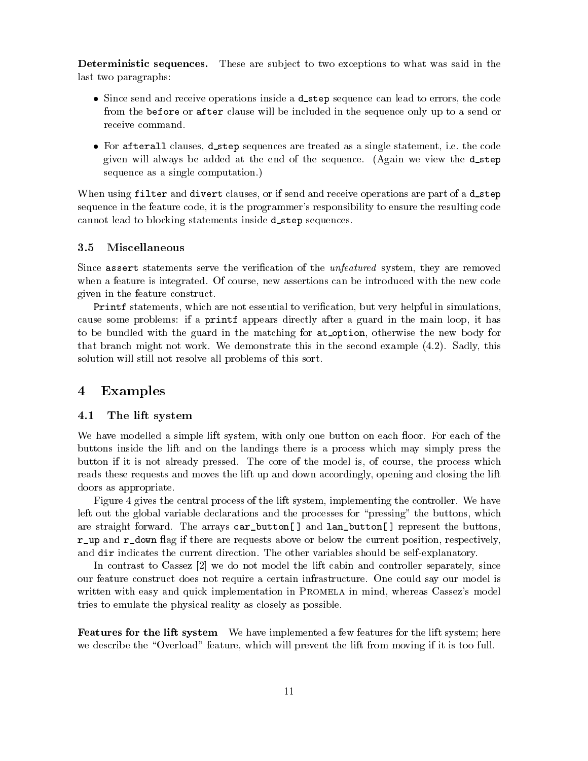Deterministic sequences. These are sub ject to two exceptions to what was said in the last two paragraphs:

- $\bullet$  Since send and receive operations inside a <code>d\_step</code> sequence can lead to errors, the code from the before or after clause will be included in the sequence only up to a send or receive command.
- $\bullet$  for afterall clauses, distep sequences are treated as a single statement, i.e. the code given will always be added at the end of the sequence. (Again we view the  $d$ -step sequence as a single computation.)

When using filter and divert clauses, or if send and receive operations are part of a d\_step sequence in the feature code, it is the programmer's responsibility to ensure the resulting code cannot lead to blocking statements inside **d\_s tep** sequences.

### 3.5 Miscellaneous

Since assert statements serve the verification of the *unfeatured* system, they are removed when a feature is integrated. Of course, new assertions can be introduced with the new code given in the feature construct.

Printf statements, which are not essential to verication, but very helpful in simulations, cause some problems: if a printf appears directly after a guard in the main loop, it has to be bundled with the guard in the matching for at option, otherwise the new body for that branch might not work. We demonstrate this in the second example (4.2). Sadly, this solution will still not resolve all problems of this sort.

## <sup>4</sup> Examples

### 4.1 The lift system

We have modelled a simple lift system, with only one button on each floor. For each of the buttons inside the lift and on the landings there is a process which may simply press the button if it is not already pressed. The core of the model is, of course, the process which reads these requests and moves the lift up and down accordingly, opening and closing the lift doors as appropriate.

Figure 4 gives the central process of the lift system, implementing the controller. We have left out the global variable declarations and the processes for "pressing" the buttons, which are straight forward. The arrays car\_button[] and lan\_button[] represent the buttons, agreement agreement are requested are requested above or below the current position, respectively, respectively, and dir indicates the current direction. The other variables should be self-explanatory.

In contrast to Cassez [2] we do not model the lift cabin and controller separately, since our feature construct does not require a certain infrastructure. One could say our model is written with easy and quick implementation in PROMELA in mind, whereas Cassez's model tries to emulate the physical reality as closely as possible.

 $\bf r$  eatures for the lift system – We have implemented a few features for the lift system; here we describe the "Overload" feature, which will prevent the lift from moving if it is too full.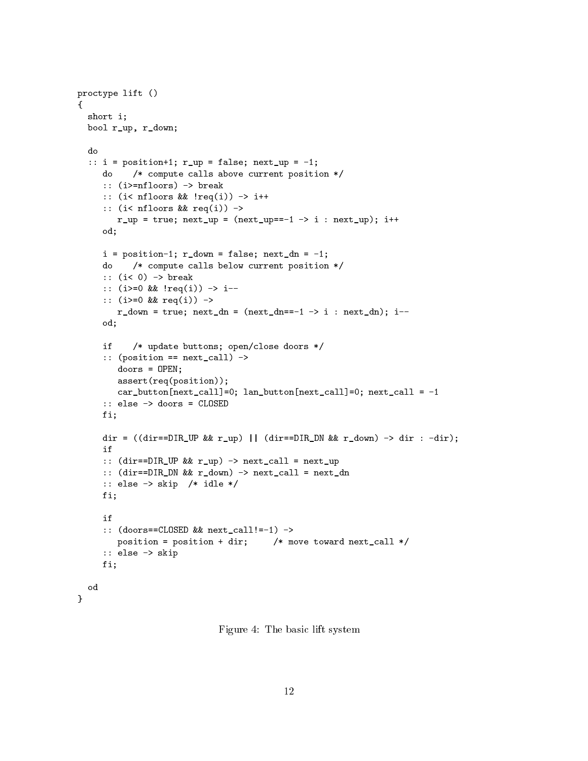```
proctype lift ()
\overline{A}\overline{\phantom{a}}short i;
   bool r_up, r_down;
  d<sub>0</sub>\cdots is positive in the false \cdots in the false \cdots is \cdotsdo /* compute calls above current position */
       :: \= =======; =====
       :: (i< nfloors && !req(i)) -> i++
       \cdot , \cdot and \cdot . \cdot . \cdot . \cdot . \cdot . \cdot . \cdot . \cdot . \cdot . \cdot . \cdot . \cdot . \cdot . \cdot . \cdot . \cdot . \cdot . \cdot . \cdot . \cdot . \cdot . \cdot . \cdot . \cdot . \cdot . \cdot . \cdot . \cdot . \cdot . \r_up = true; next_up = (next_up==-1 -> i : next_up); i++
      od;\blacksquare position-1; radium = falses; next, next, next, next, next, next, next, next, next, next, next, next, next, next, next, next, next, next, next, next, next, next, next, next, next, next, next, next, next, next, next,
      do /* compute calls below current position */
       :: \= 0) = break
       :: (i>=0 && !req(i)) -> i--
       :: (i>=0 && req(i)) ->
           r_down = true; next_dn = (next_dn==-1 -> i : next_dn); i--
      od; /* update buttons; open/close doors */
       :: (position == next_call) ->
           doors = OPEN;
          assert(req(position));car_button[next_call]=1; language=0; next_call=0; next_call=0; next_call=0; next_call = -1
      fi;d=0 , (direct direct \alpha range results in the results of results \alpha results in the results of \alphaif:: (will be you a why have verified invert when
       :: (which is a real from the real direction of \alpha real \alpha real \alpha . The real direction of \alpha:: else -> skip /* idle */
      fi;:: (woods choses was none call: \Box) :
           position position with \mu move to different next over \mu:: else -> skip
      fi;od}
```
Figure 4: The basic lift system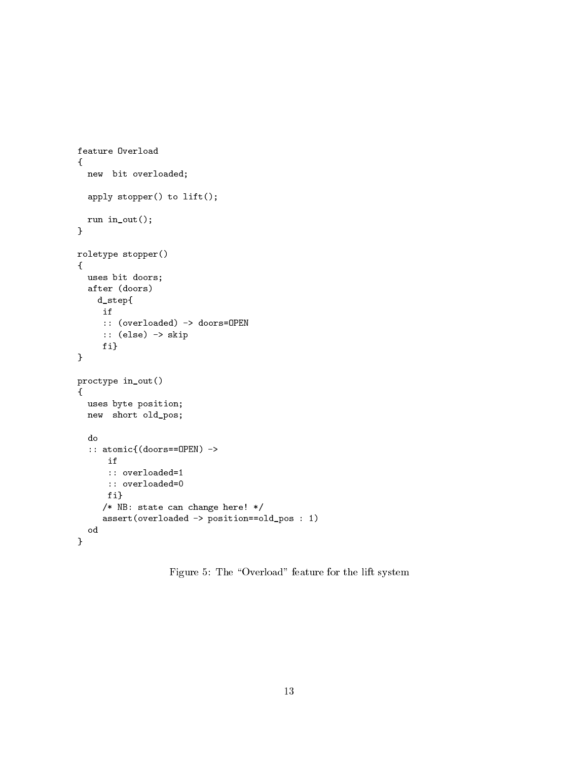```
{new bit overloaded;
  apply stopper() to lift();
  run in_out();
}roletype stopper()
{uses bit doors;
  aafter (doors) – doors
   d_step{if:: (overloaded) -> doors=OPEN
     :: \sqrt{2} . set \sqrt{2}fi}}proctype in_out()
{uses byte position;
  new short of the short of the short of the short of the short of the short of the short of the short of the sh
  do\cdots atomic \cdots at \cdots \cdotsif:: overloaded=1
      :: overloaded=0
     fi}/* NB: state can change here! */
     assert (overloaded - position-like - position - 1)
  od}
```
Figure 5: The "Overload" feature for the lift system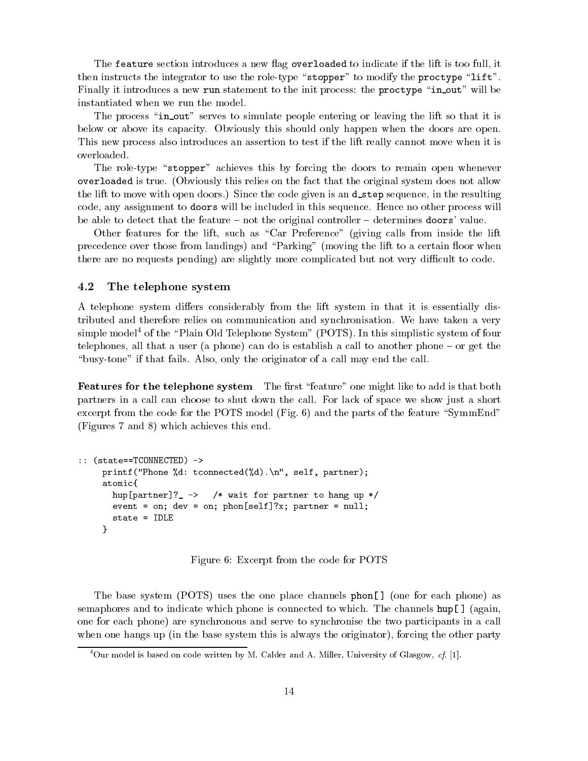The feature section introduces a new flag overloaded to indicate if the lift is too full, it then instructs the integrator to use the role-type "stopper" to modify the proctype "lift". Finally it introduces a new run statement to the init process: the proctype "in out" will be instantiated when we run the model.

The process "in out" serves to simulate people entering or leaving the lift so that it is below or above its capacity. Obviously this should only happen when the doors are open. This new process also introduces an assertion to test if the lift really cannot move when it is overloaded.

The role-type "stopper" achieves this by forcing the doors to remain open whenever overloaded is true. (Obviously this relies on the fact that the original system does not allow the lift to move with open doors.) Since the code given is an **d\_step** sequence, in the resulting code, any assignment to doors will be included in this sequence. Hence no other process will be able to detect that the feature  $-$  not the original controller  $-$  determines doors' value.

Other features for the lift, such as "Car Preference" (giving calls from inside the lift precedence over those from landings) and "Parking" (moving the lift to a certain floor when there are no requests pending) are slightly more complicated but not very difficult to code.

#### 4.2 The telephone system

A telephone system differs considerably from the lift system in that it is essentially distributed and therefore relies on communication and synchronisation. We have taken a very simple model<sup>4</sup> of the "Plain Old Telephone System" (POTS). In this simplistic system of four telephones, all that a user (a phone) can do is establish a call to another phone  $-$  or get the "busy-tone" if that fails. Also, only the originator of a call may end the call.

 $\bf r$  catures for the telephone system The mist -feature -one might like to add is that both  $\bf r$ partners in a call can choose to shut down the call. For lack of space we show just a short excerpt from the code for the POTS model (Fig.  $6$ ) and the parts of the feature "SymmEnd" (Figures 7 and 8) which achieves this end.

```
:: (state==TCONNECTED) ->
       p = 1 , the set p = 1 , and p = 1 , p = 1 , p = 1 , p = 1 , p = 1 , p = 1 , p = 1 , p = 1 , p = 1 , p = 1 , p = 1 , p = 1 , p = 1 , p = 1 , p = 1 , p = 1 , p = 1 , p = 1 , p = 1 , p = 1 , p = 1 , patomic{hup[partner]: \cdots , wait for partner to hang up \cdots\sim . on; we set phonon for in; partner in \simstate = IDLE
      }
```
Figure 6: Excerpt from the code for POTS

The base system (POTS) uses the one place channels phon[ ] (one for each phone) as semaphores and to indicate which phone is connected to which. The channels  $\text{hup}[\ ]$  (again, one for each phone) are synchronous and serve to synchronise the two participants in a call when one hangs up (in the base system this is always the originator), forcing the other party

 $^{4}$ Our model is based on code written by M. Calder and A. Miller, University of Glasgow, cf. [1].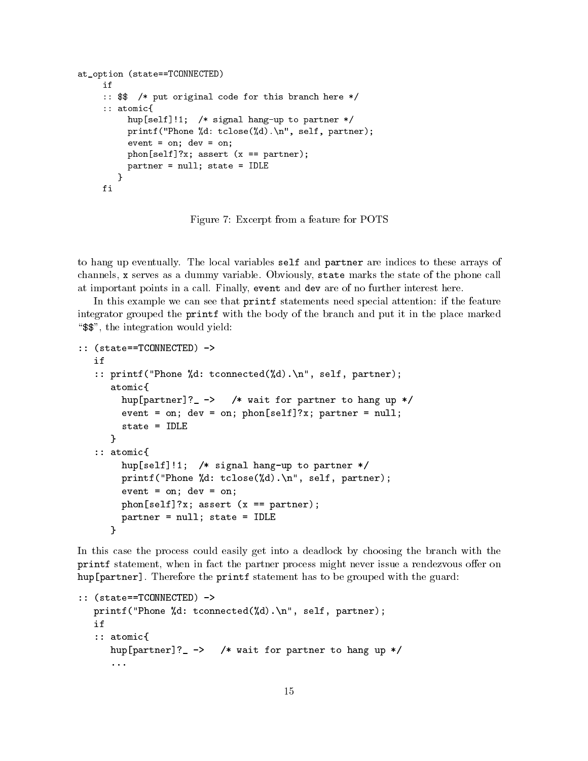```
at_option (state==TCONNECTED)
     if
      :: $$ /* put original code for this branch here */
      \cdot . \cdot atomic \cdot .
            hup[self]!i] \sim signal hang-up to partner \simp = 1 . Those p = 1 , the self-discrete p = 1 , p = 1 , p = 2 , p = 3event = on; device = on;
            phone [self]; assert (x == partner); (x == partner); (x == partner); (x == partner); (x == partner); (x == par
            partner = nulles, in the interest = IDLE
         ጉ
         }fi
```
Figure 7: Excerpt from a feature for POTS

to hang up eventually. The local variables self and partner are indices to these arrays of channels, <sup>x</sup> serves as a dummy variable. Obviously, state marks the state of the phone call at important points in a call. Finally, event and dev are of no further interest here.

In this example we can see that **printf** statements need special attention: if the feature integrator grouped the printf with the body of the branch and put it in the place marked "\\$", the integration would yield:

```
:: (state==TCONNECTED) ->
     (state==TCONNECTED) ->
    :: printf("Phone \alpha ), self-partners is the \alpha (\beta d). The self-partner \alphaatomic{hup[partner]?_ -> /* wait for partner to hang up */
            event and \alpha and \alpha are only phonon phonon in the number \alpha on \alpha . The number of \alphastate = IDLE
        \mathcal{L}}\cdot . \cdot atomic \cdot .
            hup[self]!1; /* signal hang-up to partner */
            printf("Phone %d: tclose(%d).\n", self, partner);
            event = on; development = on; development = on; development = on; development = o
            phone phone is a self-partner (x == partner); partners (x + partner); partners (x + partner); partners (x + par
            partner = nulles = IDLE = IDLE = IDLE = IDLE = IDLE = IDLE = IDLE = IDLE = IDLE = IDLE = IDLE = IDLE = IDLE = I
        }
```
In this case the process could easily get into a deadlock by choosing the branch with the printf statement, when in fact the partner process might never issue a rendezvous oer on hup[partner]. Therefore the printf statement has to be grouped with the guard:

```
:: (state==TCONNECTED) ->
     p = -\frac{1}{2} , the set \frac{1}{2} , \frac{1}{2} , \frac{1}{2} , \frac{1}{2} , \frac{1}{2} , \frac{1}{2} , \frac{1}{2} , \frac{1}{2} , \frac{1}{2} , \frac{1}{2} , \frac{1}{2} , \frac{1}{2} , \frac{1}{2} , \frac{1}{2} , \frac{1}{2} , \frac{1}{2} , \frac{1}{if:: atomic{
            atomic{
           hup[partner]?_ -> /* wait for partner to hang up */
           ...
```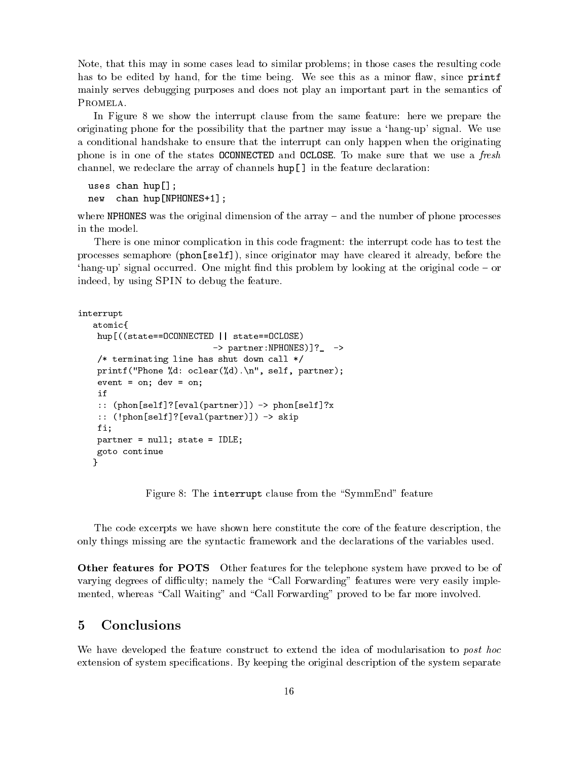Note, that this may in some cases lead to similar problems; in those cases the resulting code has to be edited by hand, for the time being. We see this as a minor flaw, since printf mainly serves debugging purposes and does not play an important part in the semantics of PROMELA.

In Figure 8 we show the interrupt clause from the same feature: here we prepare the originating phone for the possibility that the partner may issue a `hang-up' signal. We use a conditional handshake to ensure that the interrupt can only happen when the originating phone is in one of the states OCONNECTED and OCLOSE. To make sure that we use a fresh channel, we redeclare the array of channels hup[ ] in the feature declaration:

```
uses changes changes in the contract of the contract of the contract of the contract of the contract of the contract of the contract of the contract of the contract of the contract of the contract of the contract of the co
new chan hup[NPHONES+1];
```
where NPHONES was the original dimension of the array  $-$  and the number of phone processes in the model.

There is one minor complication in this code fragment: the interrupt code has to test the processes semaphore (phon[self]), since originator may have cleared it already, before the 'hang-up' signal occurred. One might find this problem by looking at the original code  $-$  or indeed, by using SPIN to debug the feature.

```
interruptatomic{hup[((state==OCONNECTED || state==OCLOSE)
                                -> partner:NPHONES)]?_ ->
     \sim terminating called the shut down call \simprintf("Phone %d", printf(", partner"); partners(", partner"); p
     event = on; device = on;
    if
     :: (phone is easily in the set \{p\} is the set of p:: ( ) - p - p - p - p - p - p - p - p - p - p - p - p - p - p - p - p - p - p - p - p - p - p - p - p - p - p - p - p - p - p - p - p - p - p - p - pfi;partner = nurrity state = IDLE;
     goto continue
   }
```
Figure 8: The interrupt clause from the "SymmEnd" feature

The code excerpts we have shown here constitute the core of the feature description, the only things missing are the syntactic framework and the declarations of the variables used.

Other features for POTS Other features for the telephone system have proved to be of varying degrees of difficulty; namely the "Call Forwarding" features were very easily implemented, whereas "Call Waiting" and "Call Forwarding" proved to be far more involved.

# <sup>5</sup> Conclusions

We have developed the feature construct to extend the idea of modularisation to post hoc extension of system specifications. By keeping the original description of the system separate